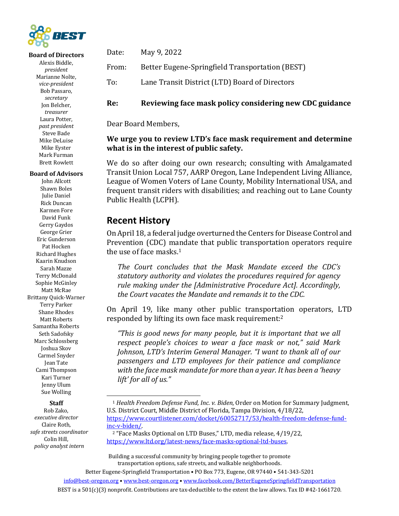

#### **Board of Directors**

Alexis Biddle, *president* Marianne Nolte, *vice-president* Bob Passaro, *secretary* Jon Belcher, *treasurer* Laura Potter, *past president* Steve Bade Mike DeLuise Mike Eyster Mark Furman **Brett Rowlett** 

#### **Board of Advisors**

John Allcott Shawn Boles Julie Daniel Rick Duncan Karmen Fore David Funk Gerry Gaydos George Grier Eric Gunderson Pat Hocken Richard Hughes Kaarin Knudson Sarah Mazze Terry McDonald Sophie McGinley Matt McRae Brittany Quick-Warner Terry Parker Shane Rhodes Matt Roberts Samantha Roberts Seth Sadofsky Marc Schlossberg Joshua Skov Carmel Snyder Jean Tate Cami Thompson Kari Turner Jenny Ulum Sue Wolling

#### **Staff**

Rob Zako, *executive director* Claire Roth, *safe streets coordinator* Colin Hill, *policy analyst intern*

| Date: | May 9, 2022                                           |
|-------|-------------------------------------------------------|
|       | From: Better Eugene-Springfield Transportation (BEST) |
| To:   | Lane Transit District (LTD) Board of Directors        |

#### **Re: Reviewing face mask policy considering new CDC guidance**

Dear Board Members,

### **We urge you to review LTD's face mask requirement and determine what is in the interest of public safety.**

We do so after doing our own research; consulting with Amalgamated Transit Union Local 757, AARP Oregon, Lane Independent Living Alliance, League of Women Voters of Lane County, Mobility International USA, and frequent transit riders with disabilities; and reaching out to Lane County Public Health (LCPH).

### **Recent History**

On April 18, a federal judge overturned the Centers for Disease Control and Prevention (CDC) mandate that public transportation operators require the use of face masks.<sup>1</sup>

The Court concludes that the Mask Mandate exceed the CDC's statutory authority and violates the procedures required for agency *rule making under the [Administrative Procedure Act]. Accordingly,* the Court vacates the Mandate and remands it to the CDC.

On April 19, like many other public transportation operators, LTD responded by lifting its own face mask requirement:<sup>2</sup>

"This is good news for many people, but it is important that we all *respect people's choices to wear a face mask or not," said Mark Johnson, LTD's Interim General Manager.* "I want to thank all of our passengers and LTD employees for their patience and compliance with the face mask mandate for more than a year. It has been a 'heavy *lift' for all of us."*

BEST is a  $501(c)(3)$  nonprofit. Contributions are tax-deductible to the extent the law allows. Tax ID #42-1661720.

<sup>&</sup>lt;sup>1</sup> Health Freedom Defense Fund, Inc. v. Biden, Order on Motion for Summary Judgment, U.S. District Court, Middle District of Florida, Tampa Division, 4/18/22, https://www.courtlistener.com/docket/60052717/53/health-freedom-defense-fundinc-v-biden/.

<sup>&</sup>lt;sup>2</sup> "Face Masks Optional on LTD Buses," LTD, media release, 4/19/22, https://www.ltd.org/latest-news/face-masks-optional-ltd-buses.

Building a successful community by bringing people together to promote transportation options, safe streets, and walkable neighborhoods.

Better Eugene-Springfield Transportation . PO Box 773, Eugene, OR 97440 . 541-343-5201 info@best-oregon.org • www.best-oregon.org • www.facebook.com/BetterEugeneSpringfieldTransportation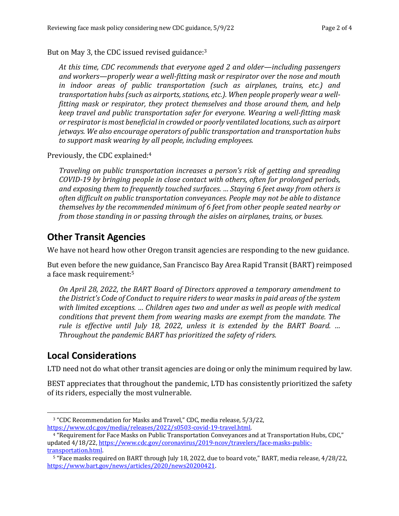But on May 3, the CDC issued revised guidance: $3$ 

At this time, CDC recommends that everyone aged 2 and older—including passengers and workers—properly wear a well-fitting mask or respirator over the nose and mouth *in* indoor areas of public transportation (such as airplanes, trains, etc.) and *transportation hubs (such as airports, stations, etc.). When people properly wear a wellfitting mask or respirator, they protect themselves and those around them, and help keep travel and public transportation safer for everyone. Wearing a well-fitting mask* or respirator is most beneficial in crowded or poorly ventilated locations, such as airport *jetways.* We also encourage operators of public transportation and transportation hubs to support mask wearing by all people, including employees.

Previously, the CDC explained:<sup>4</sup>

*Traveling* on public transportation increases a person's risk of getting and spreading *COVID-19* by bringing people in close contact with others, often for prolonged periods, and exposing them to frequently touched surfaces. ... Staying 6 feet away from others is often difficult on public transportation conveyances. People may not be able to distance *themselves by the recommended minimum of 6 feet from other people seated nearby or from those standing in or passing through the aisles on airplanes, trains, or buses.* 

## **Other Transit Agencies**

We have not heard how other Oregon transit agencies are responding to the new guidance.

But even before the new guidance, San Francisco Bay Area Rapid Transit (BART) reimposed a face mask requirement:<sup>5</sup>

*On April 28, 2022, the BART Board of Directors approved a temporary amendment to* the District's Code of Conduct to require riders to wear masks in paid areas of the system with limited exceptions. ... Children ages two and under as well as people with medical *conditions that prevent them from wearing masks are exempt from the mandate. The rule* is effective until July 18, 2022, unless it is extended by the BART Board. ... *Throughout the pandemic BART has prioritized the safety of riders.* 

## **Local Considerations**

LTD need not do what other transit agencies are doing or only the minimum required by law.

BEST appreciates that throughout the pandemic, LTD has consistently prioritized the safety of its riders, especially the most vulnerable.

<sup>&</sup>lt;sup>3</sup> "CDC Recommendation for Masks and Travel," CDC, media release, 5/3/22, https://www.cdc.gov/media/releases/2022/s0503-covid-19-travel.html.

<sup>&</sup>lt;sup>4</sup> "Requirement for Face Masks on Public Transportation Conveyances and at Transportation Hubs. CDC." updated  $4/18/22$ , https://www.cdc.gov/coronavirus/2019-ncov/travelers/face-masks-publictransportation.html.

<sup>&</sup>lt;sup>5</sup> "Face masks required on BART through July 18, 2022, due to board vote," BART, media release, 4/28/22, https://www.bart.gov/news/articles/2020/news20200421.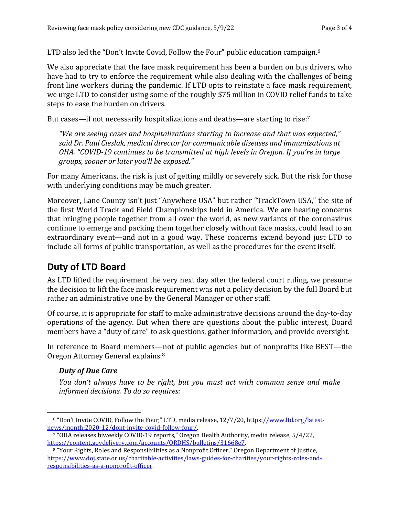LTD also led the "Don't Invite Covid, Follow the Four" public education campaign.<sup>6</sup>

We also appreciate that the face mask requirement has been a burden on bus drivers, who have had to try to enforce the requirement while also dealing with the challenges of being front line workers during the pandemic. If LTD opts to reinstate a face mask requirement, we urge LTD to consider using some of the roughly \$75 million in COVID relief funds to take steps to ease the burden on drivers.

But cases—if not necessarily hospitalizations and deaths—are starting to rise:<sup>7</sup>

"We are seeing cases and hospitalizations starting to increase and that was expected," said Dr. Paul Cieslak, medical director for communicable diseases and immunizations at *OHA.* "COVID-19 continues to be transmitted at high levels in Oregon. If you're in large *groups, sooner or later you'll be exposed."* 

For many Americans, the risk is just of getting mildly or severely sick. But the risk for those with underlying conditions may be much greater.

Moreover, Lane County isn't just "Anywhere USA" but rather "TrackTown USA," the site of the first World Track and Field Championships held in America. We are hearing concerns that bringing people together from all over the world, as new variants of the coronavirus continue to emerge and packing them together closely without face masks, could lead to an extraordinary event—and not in a good way. These concerns extend beyond just LTD to include all forms of public transportation, as well as the procedures for the event itself.

# **Duty of LTD Board**

As LTD lifted the requirement the very next day after the federal court ruling, we presume the decision to lift the face mask requirement was not a policy decision by the full Board but rather an administrative one by the General Manager or other staff.

Of course, it is appropriate for staff to make administrative decisions around the day-to-day operations of the agency. But when there are questions about the public interest, Board members have a "duty of care" to ask questions, gather information, and provide oversight.

In reference to Board members—not of public agencies but of nonprofits like BEST—the Oregon Attorney General explains:<sup>8</sup>

### *Duty of Due Care*

*You don't always have to be right, but you must act with common sense and make informed decisions. To do so requires:*

 $6$  "Don't Invite COVID, Follow the Four," LTD, media release,  $12/7/20$ , https://www.ltd.org/latestnews/month:2020-12/dont-invite-covid-follow-four/.

<sup>&</sup>lt;sup>7</sup> "OHA releases biweekly COVID-19 reports," Oregon Health Authority, media release, 5/4/22, https://content.govdelivery.com/accounts/ORDHS/bulletins/31668e7.

<sup>&</sup>lt;sup>8</sup> "Your Rights, Roles and Responsibilities as a Nonprofit Officer," Oregon Department of Justice, https://www.doj.state.or.us/charitable-activities/laws-guides-for-charities/your-rights-roles-andresponsibilities-as-a-nonprofit-officer.